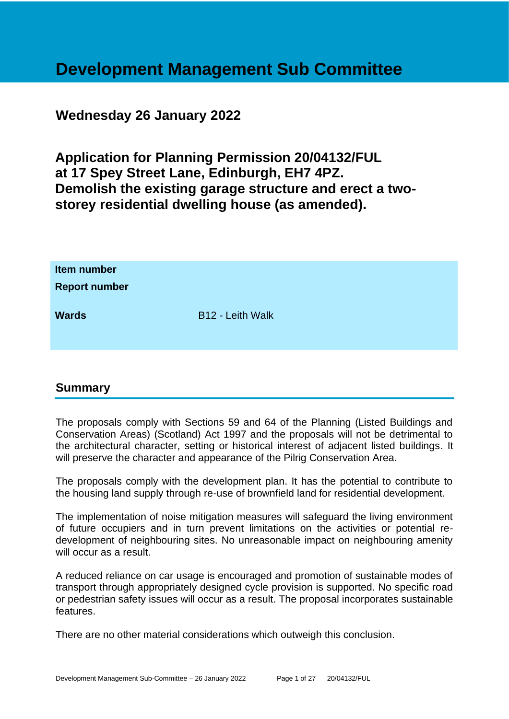# **Development Management Sub Committee**

## **Wednesday 26 January 2022**

**Application for Planning Permission 20/04132/FUL at 17 Spey Street Lane, Edinburgh, EH7 4PZ. Demolish the existing garage structure and erect a twostorey residential dwelling house (as amended).**

| Item number<br><b>Report number</b> |                  |
|-------------------------------------|------------------|
| <b>Wards</b>                        | B12 - Leith Walk |

## **Summary**

The proposals comply with Sections 59 and 64 of the Planning (Listed Buildings and Conservation Areas) (Scotland) Act 1997 and the proposals will not be detrimental to the architectural character, setting or historical interest of adjacent listed buildings. It will preserve the character and appearance of the Pilrig Conservation Area.

The proposals comply with the development plan. It has the potential to contribute to the housing land supply through re-use of brownfield land for residential development.

The implementation of noise mitigation measures will safeguard the living environment of future occupiers and in turn prevent limitations on the activities or potential redevelopment of neighbouring sites. No unreasonable impact on neighbouring amenity will occur as a result.

A reduced reliance on car usage is encouraged and promotion of sustainable modes of transport through appropriately designed cycle provision is supported. No specific road or pedestrian safety issues will occur as a result. The proposal incorporates sustainable features.

There are no other material considerations which outweigh this conclusion.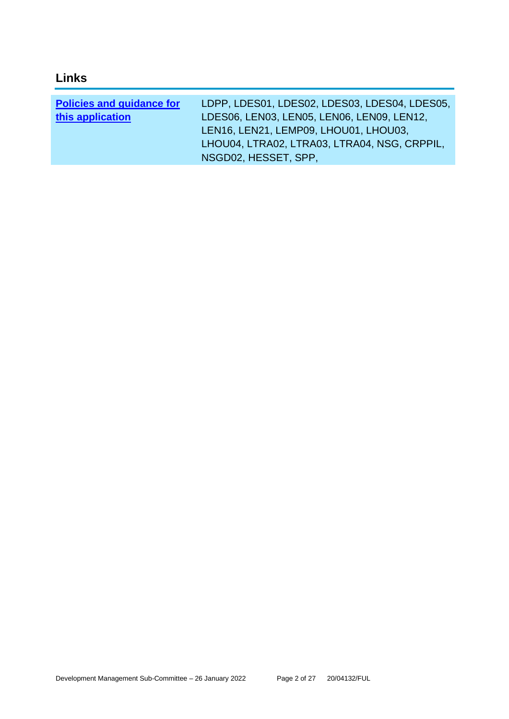## **Links**

| <b>Policies and guidance for</b> | LDPP, LDES01, LDES02, LDES03, LDES04, LDES05, |
|----------------------------------|-----------------------------------------------|
| this application                 | LDES06, LEN03, LEN05, LEN06, LEN09, LEN12,    |
|                                  | LEN16, LEN21, LEMP09, LHOU01, LHOU03,         |
|                                  | LHOU04, LTRA02, LTRA03, LTRA04, NSG, CRPPIL,  |
|                                  | NSGD02, HESSET, SPP,                          |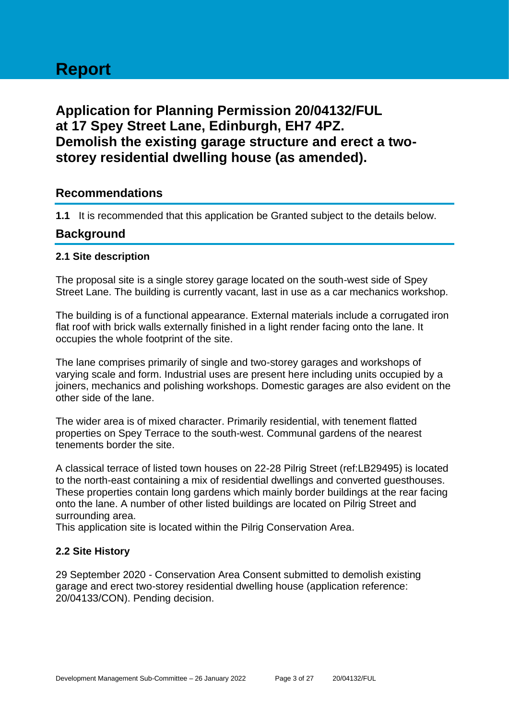# **Report**

## **Application for Planning Permission 20/04132/FUL at 17 Spey Street Lane, Edinburgh, EH7 4PZ. Demolish the existing garage structure and erect a twostorey residential dwelling house (as amended).**

## **Recommendations**

**1.1** It is recommended that this application be Granted subject to the details below.

## **Background**

#### **2.1 Site description**

The proposal site is a single storey garage located on the south-west side of Spey Street Lane. The building is currently vacant, last in use as a car mechanics workshop.

The building is of a functional appearance. External materials include a corrugated iron flat roof with brick walls externally finished in a light render facing onto the lane. It occupies the whole footprint of the site.

The lane comprises primarily of single and two-storey garages and workshops of varying scale and form. Industrial uses are present here including units occupied by a joiners, mechanics and polishing workshops. Domestic garages are also evident on the other side of the lane.

The wider area is of mixed character. Primarily residential, with tenement flatted properties on Spey Terrace to the south-west. Communal gardens of the nearest tenements border the site.

A classical terrace of listed town houses on 22-28 Pilrig Street (ref:LB29495) is located to the north-east containing a mix of residential dwellings and converted guesthouses. These properties contain long gardens which mainly border buildings at the rear facing onto the lane. A number of other listed buildings are located on Pilrig Street and surrounding area.

This application site is located within the Pilrig Conservation Area.

#### **2.2 Site History**

29 September 2020 - Conservation Area Consent submitted to demolish existing garage and erect two-storey residential dwelling house (application reference: 20/04133/CON). Pending decision.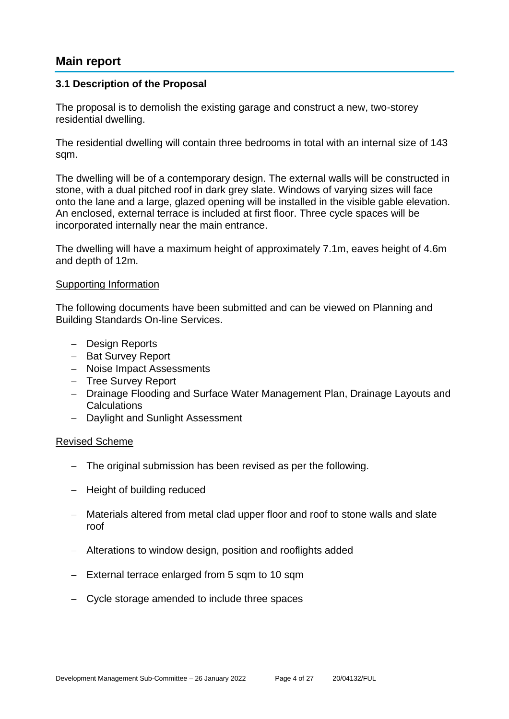## **Main report**

#### **3.1 Description of the Proposal**

The proposal is to demolish the existing garage and construct a new, two-storey residential dwelling.

The residential dwelling will contain three bedrooms in total with an internal size of 143 sqm.

The dwelling will be of a contemporary design. The external walls will be constructed in stone, with a dual pitched roof in dark grey slate. Windows of varying sizes will face onto the lane and a large, glazed opening will be installed in the visible gable elevation. An enclosed, external terrace is included at first floor. Three cycle spaces will be incorporated internally near the main entrance.

The dwelling will have a maximum height of approximately 7.1m, eaves height of 4.6m and depth of 12m.

#### Supporting Information

The following documents have been submitted and can be viewed on Planning and Building Standards On-line Services.

- − Design Reports
- − Bat Survey Report
- − Noise Impact Assessments
- − Tree Survey Report
- − Drainage Flooding and Surface Water Management Plan, Drainage Layouts and **Calculations**
- − Daylight and Sunlight Assessment

#### Revised Scheme

- − The original submission has been revised as per the following.
- − Height of building reduced
- − Materials altered from metal clad upper floor and roof to stone walls and slate roof
- − Alterations to window design, position and rooflights added
- − External terrace enlarged from 5 sqm to 10 sqm
- − Cycle storage amended to include three spaces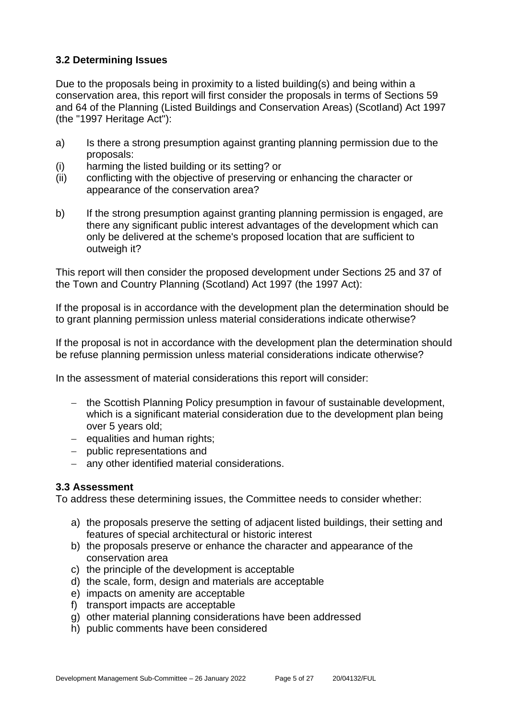## **3.2 Determining Issues**

Due to the proposals being in proximity to a listed building(s) and being within a conservation area, this report will first consider the proposals in terms of Sections 59 and 64 of the Planning (Listed Buildings and Conservation Areas) (Scotland) Act 1997 (the "1997 Heritage Act"):

- a) Is there a strong presumption against granting planning permission due to the proposals:
- (i) harming the listed building or its setting? or
- (ii) conflicting with the objective of preserving or enhancing the character or appearance of the conservation area?
- b) If the strong presumption against granting planning permission is engaged, are there any significant public interest advantages of the development which can only be delivered at the scheme's proposed location that are sufficient to outweigh it?

This report will then consider the proposed development under Sections 25 and 37 of the Town and Country Planning (Scotland) Act 1997 (the 1997 Act):

If the proposal is in accordance with the development plan the determination should be to grant planning permission unless material considerations indicate otherwise?

If the proposal is not in accordance with the development plan the determination should be refuse planning permission unless material considerations indicate otherwise?

In the assessment of material considerations this report will consider:

- − the Scottish Planning Policy presumption in favour of sustainable development, which is a significant material consideration due to the development plan being over 5 years old;
- − equalities and human rights;
- − public representations and
- − any other identified material considerations.

## **3.3 Assessment**

To address these determining issues, the Committee needs to consider whether:

- a) the proposals preserve the setting of adjacent listed buildings, their setting and features of special architectural or historic interest
- b) the proposals preserve or enhance the character and appearance of the conservation area
- c) the principle of the development is acceptable
- d) the scale, form, design and materials are acceptable
- e) impacts on amenity are acceptable
- f) transport impacts are acceptable
- g) other material planning considerations have been addressed
- h) public comments have been considered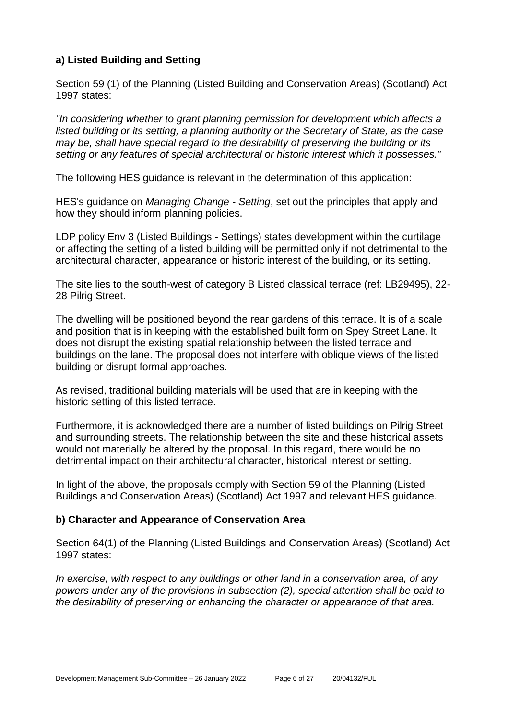## **a) Listed Building and Setting**

Section 59 (1) of the Planning (Listed Building and Conservation Areas) (Scotland) Act 1997 states:

*"In considering whether to grant planning permission for development which affects a listed building or its setting, a planning authority or the Secretary of State, as the case may be, shall have special regard to the desirability of preserving the building or its setting or any features of special architectural or historic interest which it possesses."*

The following HES guidance is relevant in the determination of this application:

HES's guidance on *Managing Change - Setting*, set out the principles that apply and how they should inform planning policies.

LDP policy Env 3 (Listed Buildings - Settings) states development within the curtilage or affecting the setting of a listed building will be permitted only if not detrimental to the architectural character, appearance or historic interest of the building, or its setting.

The site lies to the south-west of category B Listed classical terrace (ref: LB29495), 22- 28 Pilrig Street.

The dwelling will be positioned beyond the rear gardens of this terrace. It is of a scale and position that is in keeping with the established built form on Spey Street Lane. It does not disrupt the existing spatial relationship between the listed terrace and buildings on the lane. The proposal does not interfere with oblique views of the listed building or disrupt formal approaches.

As revised, traditional building materials will be used that are in keeping with the historic setting of this listed terrace.

Furthermore, it is acknowledged there are a number of listed buildings on Pilrig Street and surrounding streets. The relationship between the site and these historical assets would not materially be altered by the proposal. In this regard, there would be no detrimental impact on their architectural character, historical interest or setting.

In light of the above, the proposals comply with Section 59 of the Planning (Listed Buildings and Conservation Areas) (Scotland) Act 1997 and relevant HES guidance.

#### **b) Character and Appearance of Conservation Area**

Section 64(1) of the Planning (Listed Buildings and Conservation Areas) (Scotland) Act 1997 states:

*In exercise, with respect to any buildings or other land in a conservation area, of any powers under any of the provisions in subsection (2), special attention shall be paid to the desirability of preserving or enhancing the character or appearance of that area.*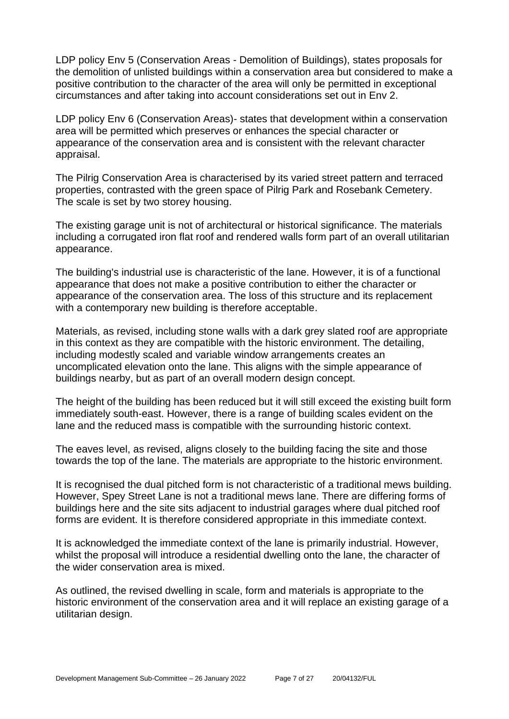LDP policy Env 5 (Conservation Areas - Demolition of Buildings), states proposals for the demolition of unlisted buildings within a conservation area but considered to make a positive contribution to the character of the area will only be permitted in exceptional circumstances and after taking into account considerations set out in Env 2.

LDP policy Env 6 (Conservation Areas)- states that development within a conservation area will be permitted which preserves or enhances the special character or appearance of the conservation area and is consistent with the relevant character appraisal.

The Pilrig Conservation Area is characterised by its varied street pattern and terraced properties, contrasted with the green space of Pilrig Park and Rosebank Cemetery. The scale is set by two storey housing.

The existing garage unit is not of architectural or historical significance. The materials including a corrugated iron flat roof and rendered walls form part of an overall utilitarian appearance.

The building's industrial use is characteristic of the lane. However, it is of a functional appearance that does not make a positive contribution to either the character or appearance of the conservation area. The loss of this structure and its replacement with a contemporary new building is therefore acceptable.

Materials, as revised, including stone walls with a dark grey slated roof are appropriate in this context as they are compatible with the historic environment. The detailing, including modestly scaled and variable window arrangements creates an uncomplicated elevation onto the lane. This aligns with the simple appearance of buildings nearby, but as part of an overall modern design concept.

The height of the building has been reduced but it will still exceed the existing built form immediately south-east. However, there is a range of building scales evident on the lane and the reduced mass is compatible with the surrounding historic context.

The eaves level, as revised, aligns closely to the building facing the site and those towards the top of the lane. The materials are appropriate to the historic environment.

It is recognised the dual pitched form is not characteristic of a traditional mews building. However, Spey Street Lane is not a traditional mews lane. There are differing forms of buildings here and the site sits adjacent to industrial garages where dual pitched roof forms are evident. It is therefore considered appropriate in this immediate context.

It is acknowledged the immediate context of the lane is primarily industrial. However, whilst the proposal will introduce a residential dwelling onto the lane, the character of the wider conservation area is mixed.

As outlined, the revised dwelling in scale, form and materials is appropriate to the historic environment of the conservation area and it will replace an existing garage of a utilitarian design.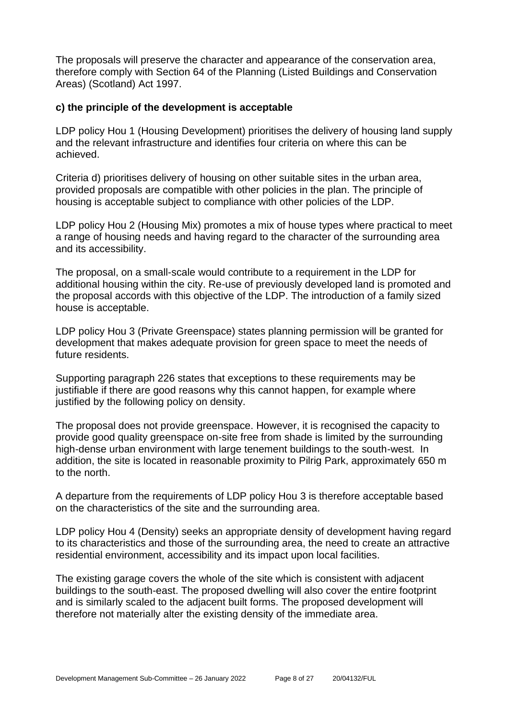The proposals will preserve the character and appearance of the conservation area, therefore comply with Section 64 of the Planning (Listed Buildings and Conservation Areas) (Scotland) Act 1997.

#### **c) the principle of the development is acceptable**

LDP policy Hou 1 (Housing Development) prioritises the delivery of housing land supply and the relevant infrastructure and identifies four criteria on where this can be achieved.

Criteria d) prioritises delivery of housing on other suitable sites in the urban area, provided proposals are compatible with other policies in the plan. The principle of housing is acceptable subject to compliance with other policies of the LDP.

LDP policy Hou 2 (Housing Mix) promotes a mix of house types where practical to meet a range of housing needs and having regard to the character of the surrounding area and its accessibility.

The proposal, on a small-scale would contribute to a requirement in the LDP for additional housing within the city. Re-use of previously developed land is promoted and the proposal accords with this objective of the LDP. The introduction of a family sized house is acceptable.

LDP policy Hou 3 (Private Greenspace) states planning permission will be granted for development that makes adequate provision for green space to meet the needs of future residents.

Supporting paragraph 226 states that exceptions to these requirements may be justifiable if there are good reasons why this cannot happen, for example where justified by the following policy on density.

The proposal does not provide greenspace. However, it is recognised the capacity to provide good quality greenspace on-site free from shade is limited by the surrounding high-dense urban environment with large tenement buildings to the south-west. In addition, the site is located in reasonable proximity to Pilrig Park, approximately 650 m to the north.

A departure from the requirements of LDP policy Hou 3 is therefore acceptable based on the characteristics of the site and the surrounding area.

LDP policy Hou 4 (Density) seeks an appropriate density of development having regard to its characteristics and those of the surrounding area, the need to create an attractive residential environment, accessibility and its impact upon local facilities.

The existing garage covers the whole of the site which is consistent with adjacent buildings to the south-east. The proposed dwelling will also cover the entire footprint and is similarly scaled to the adjacent built forms. The proposed development will therefore not materially alter the existing density of the immediate area.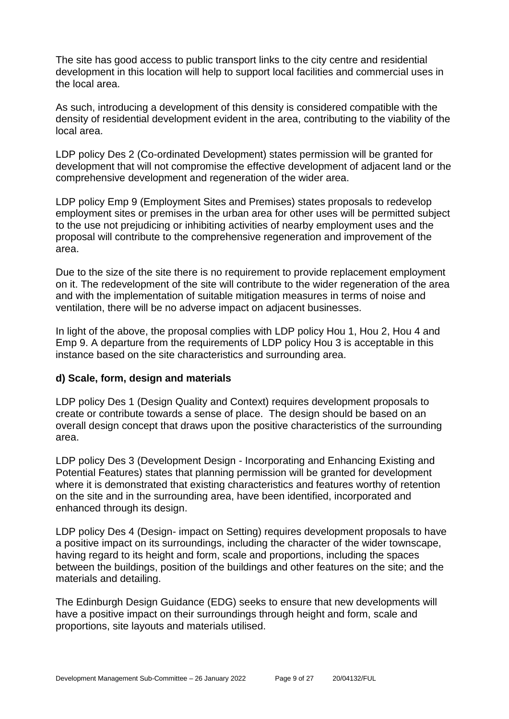The site has good access to public transport links to the city centre and residential development in this location will help to support local facilities and commercial uses in the local area.

As such, introducing a development of this density is considered compatible with the density of residential development evident in the area, contributing to the viability of the local area.

LDP policy Des 2 (Co-ordinated Development) states permission will be granted for development that will not compromise the effective development of adjacent land or the comprehensive development and regeneration of the wider area.

LDP policy Emp 9 (Employment Sites and Premises) states proposals to redevelop employment sites or premises in the urban area for other uses will be permitted subject to the use not prejudicing or inhibiting activities of nearby employment uses and the proposal will contribute to the comprehensive regeneration and improvement of the area.

Due to the size of the site there is no requirement to provide replacement employment on it. The redevelopment of the site will contribute to the wider regeneration of the area and with the implementation of suitable mitigation measures in terms of noise and ventilation, there will be no adverse impact on adjacent businesses.

In light of the above, the proposal complies with LDP policy Hou 1, Hou 2, Hou 4 and Emp 9. A departure from the requirements of LDP policy Hou 3 is acceptable in this instance based on the site characteristics and surrounding area.

#### **d) Scale, form, design and materials**

LDP policy Des 1 (Design Quality and Context) requires development proposals to create or contribute towards a sense of place. The design should be based on an overall design concept that draws upon the positive characteristics of the surrounding area.

LDP policy Des 3 (Development Design - Incorporating and Enhancing Existing and Potential Features) states that planning permission will be granted for development where it is demonstrated that existing characteristics and features worthy of retention on the site and in the surrounding area, have been identified, incorporated and enhanced through its design.

LDP policy Des 4 (Design- impact on Setting) requires development proposals to have a positive impact on its surroundings, including the character of the wider townscape, having regard to its height and form, scale and proportions, including the spaces between the buildings, position of the buildings and other features on the site; and the materials and detailing.

The Edinburgh Design Guidance (EDG) seeks to ensure that new developments will have a positive impact on their surroundings through height and form, scale and proportions, site layouts and materials utilised.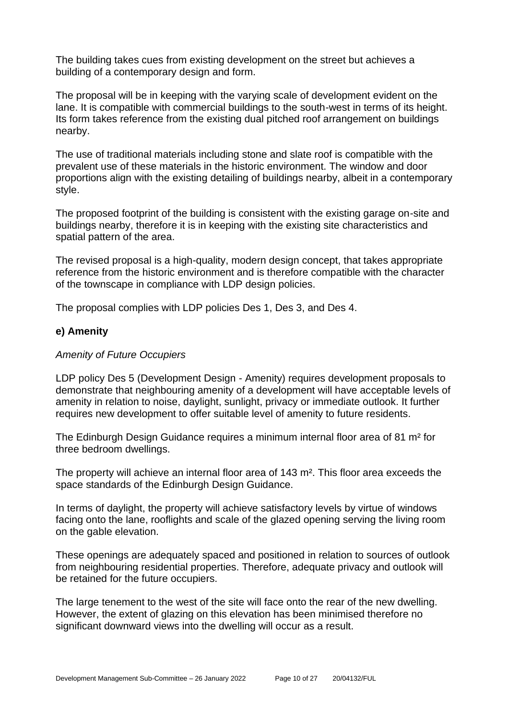The building takes cues from existing development on the street but achieves a building of a contemporary design and form.

The proposal will be in keeping with the varying scale of development evident on the lane. It is compatible with commercial buildings to the south-west in terms of its height. Its form takes reference from the existing dual pitched roof arrangement on buildings nearby.

The use of traditional materials including stone and slate roof is compatible with the prevalent use of these materials in the historic environment. The window and door proportions align with the existing detailing of buildings nearby, albeit in a contemporary style.

The proposed footprint of the building is consistent with the existing garage on-site and buildings nearby, therefore it is in keeping with the existing site characteristics and spatial pattern of the area.

The revised proposal is a high-quality, modern design concept, that takes appropriate reference from the historic environment and is therefore compatible with the character of the townscape in compliance with LDP design policies.

The proposal complies with LDP policies Des 1, Des 3, and Des 4.

#### **e) Amenity**

#### *Amenity of Future Occupiers*

LDP policy Des 5 (Development Design - Amenity) requires development proposals to demonstrate that neighbouring amenity of a development will have acceptable levels of amenity in relation to noise, daylight, sunlight, privacy or immediate outlook. It further requires new development to offer suitable level of amenity to future residents.

The Edinburgh Design Guidance requires a minimum internal floor area of 81 m² for three bedroom dwellings.

The property will achieve an internal floor area of 143 m². This floor area exceeds the space standards of the Edinburgh Design Guidance.

In terms of daylight, the property will achieve satisfactory levels by virtue of windows facing onto the lane, rooflights and scale of the glazed opening serving the living room on the gable elevation.

These openings are adequately spaced and positioned in relation to sources of outlook from neighbouring residential properties. Therefore, adequate privacy and outlook will be retained for the future occupiers.

The large tenement to the west of the site will face onto the rear of the new dwelling. However, the extent of glazing on this elevation has been minimised therefore no significant downward views into the dwelling will occur as a result.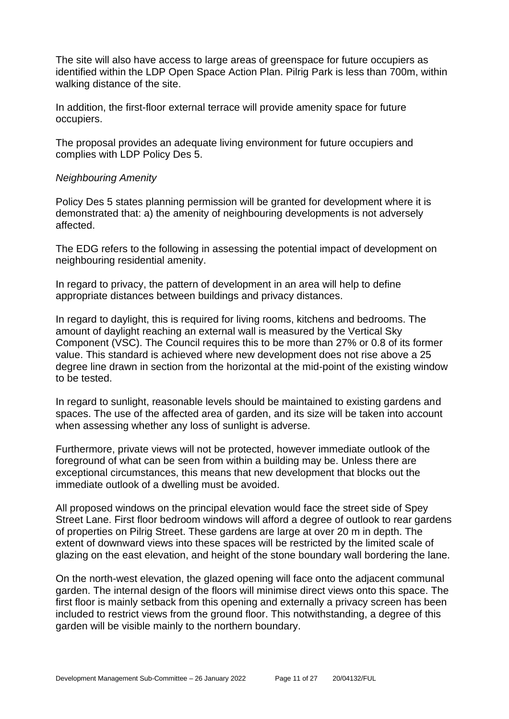The site will also have access to large areas of greenspace for future occupiers as identified within the LDP Open Space Action Plan. Pilrig Park is less than 700m, within walking distance of the site.

In addition, the first-floor external terrace will provide amenity space for future occupiers.

The proposal provides an adequate living environment for future occupiers and complies with LDP Policy Des 5.

#### *Neighbouring Amenity*

Policy Des 5 states planning permission will be granted for development where it is demonstrated that: a) the amenity of neighbouring developments is not adversely affected.

The EDG refers to the following in assessing the potential impact of development on neighbouring residential amenity.

In regard to privacy, the pattern of development in an area will help to define appropriate distances between buildings and privacy distances.

In regard to daylight, this is required for living rooms, kitchens and bedrooms. The amount of daylight reaching an external wall is measured by the Vertical Sky Component (VSC). The Council requires this to be more than 27% or 0.8 of its former value. This standard is achieved where new development does not rise above a 25 degree line drawn in section from the horizontal at the mid-point of the existing window to be tested.

In regard to sunlight, reasonable levels should be maintained to existing gardens and spaces. The use of the affected area of garden, and its size will be taken into account when assessing whether any loss of sunlight is adverse.

Furthermore, private views will not be protected, however immediate outlook of the foreground of what can be seen from within a building may be. Unless there are exceptional circumstances, this means that new development that blocks out the immediate outlook of a dwelling must be avoided.

All proposed windows on the principal elevation would face the street side of Spey Street Lane. First floor bedroom windows will afford a degree of outlook to rear gardens of properties on Pilrig Street. These gardens are large at over 20 m in depth. The extent of downward views into these spaces will be restricted by the limited scale of glazing on the east elevation, and height of the stone boundary wall bordering the lane.

On the north-west elevation, the glazed opening will face onto the adjacent communal garden. The internal design of the floors will minimise direct views onto this space. The first floor is mainly setback from this opening and externally a privacy screen has been included to restrict views from the ground floor. This notwithstanding, a degree of this garden will be visible mainly to the northern boundary.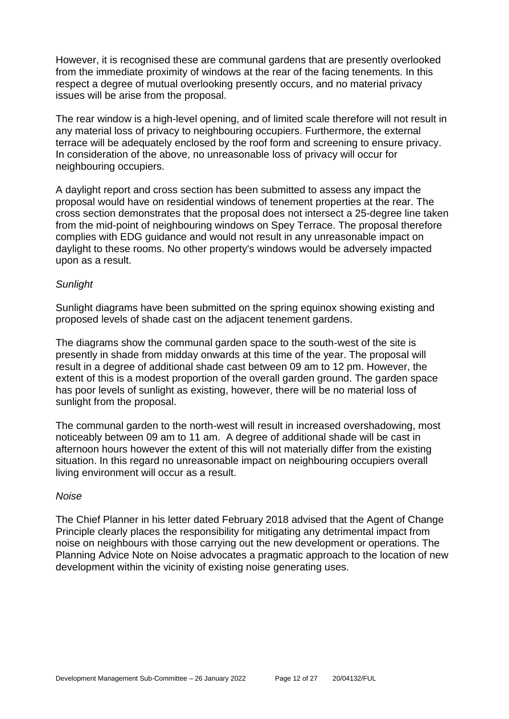However, it is recognised these are communal gardens that are presently overlooked from the immediate proximity of windows at the rear of the facing tenements. In this respect a degree of mutual overlooking presently occurs, and no material privacy issues will be arise from the proposal.

The rear window is a high-level opening, and of limited scale therefore will not result in any material loss of privacy to neighbouring occupiers. Furthermore, the external terrace will be adequately enclosed by the roof form and screening to ensure privacy. In consideration of the above, no unreasonable loss of privacy will occur for neighbouring occupiers.

A daylight report and cross section has been submitted to assess any impact the proposal would have on residential windows of tenement properties at the rear. The cross section demonstrates that the proposal does not intersect a 25-degree line taken from the mid-point of neighbouring windows on Spey Terrace. The proposal therefore complies with EDG guidance and would not result in any unreasonable impact on daylight to these rooms. No other property's windows would be adversely impacted upon as a result.

#### *Sunlight*

Sunlight diagrams have been submitted on the spring equinox showing existing and proposed levels of shade cast on the adjacent tenement gardens.

The diagrams show the communal garden space to the south-west of the site is presently in shade from midday onwards at this time of the year. The proposal will result in a degree of additional shade cast between 09 am to 12 pm. However, the extent of this is a modest proportion of the overall garden ground. The garden space has poor levels of sunlight as existing, however, there will be no material loss of sunlight from the proposal.

The communal garden to the north-west will result in increased overshadowing, most noticeably between 09 am to 11 am. A degree of additional shade will be cast in afternoon hours however the extent of this will not materially differ from the existing situation. In this regard no unreasonable impact on neighbouring occupiers overall living environment will occur as a result.

#### *Noise*

The Chief Planner in his letter dated February 2018 advised that the Agent of Change Principle clearly places the responsibility for mitigating any detrimental impact from noise on neighbours with those carrying out the new development or operations. The Planning Advice Note on Noise advocates a pragmatic approach to the location of new development within the vicinity of existing noise generating uses.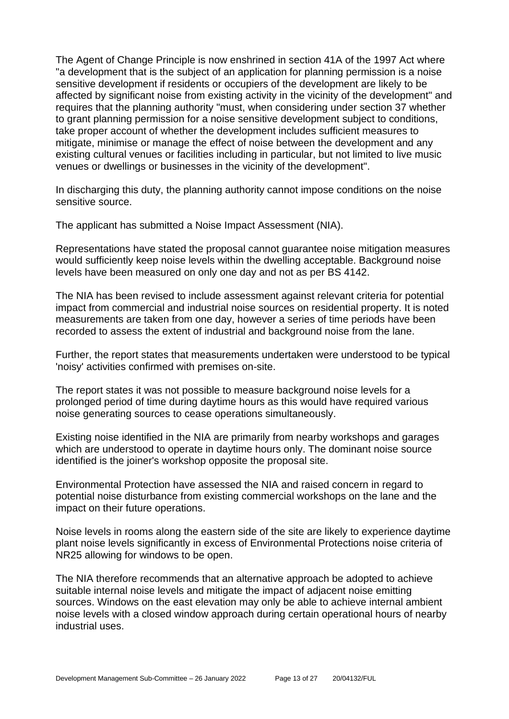The Agent of Change Principle is now enshrined in section 41A of the 1997 Act where "a development that is the subject of an application for planning permission is a noise sensitive development if residents or occupiers of the development are likely to be affected by significant noise from existing activity in the vicinity of the development" and requires that the planning authority "must, when considering under section 37 whether to grant planning permission for a noise sensitive development subject to conditions, take proper account of whether the development includes sufficient measures to mitigate, minimise or manage the effect of noise between the development and any existing cultural venues or facilities including in particular, but not limited to live music venues or dwellings or businesses in the vicinity of the development".

In discharging this duty, the planning authority cannot impose conditions on the noise sensitive source.

The applicant has submitted a Noise Impact Assessment (NIA).

Representations have stated the proposal cannot guarantee noise mitigation measures would sufficiently keep noise levels within the dwelling acceptable. Background noise levels have been measured on only one day and not as per BS 4142.

The NIA has been revised to include assessment against relevant criteria for potential impact from commercial and industrial noise sources on residential property. It is noted measurements are taken from one day, however a series of time periods have been recorded to assess the extent of industrial and background noise from the lane.

Further, the report states that measurements undertaken were understood to be typical 'noisy' activities confirmed with premises on-site.

The report states it was not possible to measure background noise levels for a prolonged period of time during daytime hours as this would have required various noise generating sources to cease operations simultaneously.

Existing noise identified in the NIA are primarily from nearby workshops and garages which are understood to operate in daytime hours only. The dominant noise source identified is the joiner's workshop opposite the proposal site.

Environmental Protection have assessed the NIA and raised concern in regard to potential noise disturbance from existing commercial workshops on the lane and the impact on their future operations.

Noise levels in rooms along the eastern side of the site are likely to experience daytime plant noise levels significantly in excess of Environmental Protections noise criteria of NR25 allowing for windows to be open.

The NIA therefore recommends that an alternative approach be adopted to achieve suitable internal noise levels and mitigate the impact of adjacent noise emitting sources. Windows on the east elevation may only be able to achieve internal ambient noise levels with a closed window approach during certain operational hours of nearby industrial uses.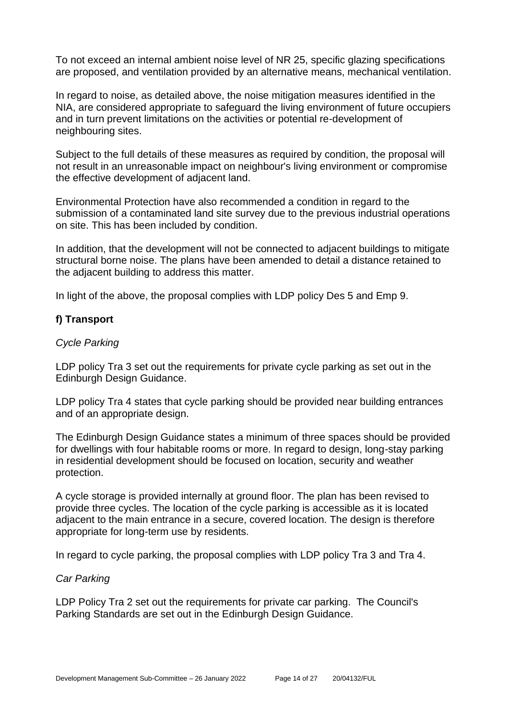To not exceed an internal ambient noise level of NR 25, specific glazing specifications are proposed, and ventilation provided by an alternative means, mechanical ventilation.

In regard to noise, as detailed above, the noise mitigation measures identified in the NIA, are considered appropriate to safeguard the living environment of future occupiers and in turn prevent limitations on the activities or potential re-development of neighbouring sites.

Subject to the full details of these measures as required by condition, the proposal will not result in an unreasonable impact on neighbour's living environment or compromise the effective development of adjacent land.

Environmental Protection have also recommended a condition in regard to the submission of a contaminated land site survey due to the previous industrial operations on site. This has been included by condition.

In addition, that the development will not be connected to adjacent buildings to mitigate structural borne noise. The plans have been amended to detail a distance retained to the adjacent building to address this matter.

In light of the above, the proposal complies with LDP policy Des 5 and Emp 9.

#### **f) Transport**

#### *Cycle Parking*

LDP policy Tra 3 set out the requirements for private cycle parking as set out in the Edinburgh Design Guidance.

LDP policy Tra 4 states that cycle parking should be provided near building entrances and of an appropriate design.

The Edinburgh Design Guidance states a minimum of three spaces should be provided for dwellings with four habitable rooms or more. In regard to design, long-stay parking in residential development should be focused on location, security and weather protection.

A cycle storage is provided internally at ground floor. The plan has been revised to provide three cycles. The location of the cycle parking is accessible as it is located adjacent to the main entrance in a secure, covered location. The design is therefore appropriate for long-term use by residents.

In regard to cycle parking, the proposal complies with LDP policy Tra 3 and Tra 4.

#### *Car Parking*

LDP Policy Tra 2 set out the requirements for private car parking. The Council's Parking Standards are set out in the Edinburgh Design Guidance.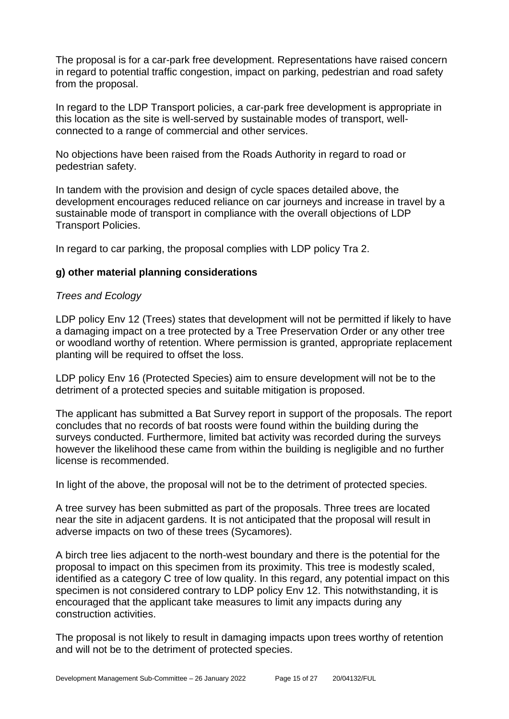The proposal is for a car-park free development. Representations have raised concern in regard to potential traffic congestion, impact on parking, pedestrian and road safety from the proposal.

In regard to the LDP Transport policies, a car-park free development is appropriate in this location as the site is well-served by sustainable modes of transport, wellconnected to a range of commercial and other services.

No objections have been raised from the Roads Authority in regard to road or pedestrian safety.

In tandem with the provision and design of cycle spaces detailed above, the development encourages reduced reliance on car journeys and increase in travel by a sustainable mode of transport in compliance with the overall objections of LDP Transport Policies.

In regard to car parking, the proposal complies with LDP policy Tra 2.

#### **g) other material planning considerations**

#### *Trees and Ecology*

LDP policy Env 12 (Trees) states that development will not be permitted if likely to have a damaging impact on a tree protected by a Tree Preservation Order or any other tree or woodland worthy of retention. Where permission is granted, appropriate replacement planting will be required to offset the loss.

LDP policy Env 16 (Protected Species) aim to ensure development will not be to the detriment of a protected species and suitable mitigation is proposed.

The applicant has submitted a Bat Survey report in support of the proposals. The report concludes that no records of bat roosts were found within the building during the surveys conducted. Furthermore, limited bat activity was recorded during the surveys however the likelihood these came from within the building is negligible and no further license is recommended.

In light of the above, the proposal will not be to the detriment of protected species.

A tree survey has been submitted as part of the proposals. Three trees are located near the site in adjacent gardens. It is not anticipated that the proposal will result in adverse impacts on two of these trees (Sycamores).

A birch tree lies adjacent to the north-west boundary and there is the potential for the proposal to impact on this specimen from its proximity. This tree is modestly scaled, identified as a category C tree of low quality. In this regard, any potential impact on this specimen is not considered contrary to LDP policy Env 12. This notwithstanding, it is encouraged that the applicant take measures to limit any impacts during any construction activities.

The proposal is not likely to result in damaging impacts upon trees worthy of retention and will not be to the detriment of protected species.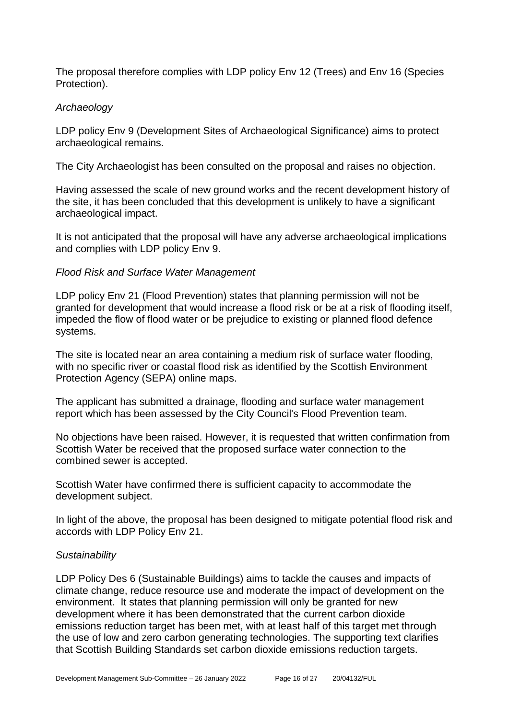The proposal therefore complies with LDP policy Env 12 (Trees) and Env 16 (Species Protection).

#### *Archaeology*

LDP policy Env 9 (Development Sites of Archaeological Significance) aims to protect archaeological remains.

The City Archaeologist has been consulted on the proposal and raises no objection.

Having assessed the scale of new ground works and the recent development history of the site, it has been concluded that this development is unlikely to have a significant archaeological impact.

It is not anticipated that the proposal will have any adverse archaeological implications and complies with LDP policy Env 9.

#### *Flood Risk and Surface Water Management*

LDP policy Env 21 (Flood Prevention) states that planning permission will not be granted for development that would increase a flood risk or be at a risk of flooding itself, impeded the flow of flood water or be prejudice to existing or planned flood defence systems.

The site is located near an area containing a medium risk of surface water flooding, with no specific river or coastal flood risk as identified by the Scottish Environment Protection Agency (SEPA) online maps.

The applicant has submitted a drainage, flooding and surface water management report which has been assessed by the City Council's Flood Prevention team.

No objections have been raised. However, it is requested that written confirmation from Scottish Water be received that the proposed surface water connection to the combined sewer is accepted.

Scottish Water have confirmed there is sufficient capacity to accommodate the development subject.

In light of the above, the proposal has been designed to mitigate potential flood risk and accords with LDP Policy Env 21.

#### *Sustainability*

LDP Policy Des 6 (Sustainable Buildings) aims to tackle the causes and impacts of climate change, reduce resource use and moderate the impact of development on the environment. It states that planning permission will only be granted for new development where it has been demonstrated that the current carbon dioxide emissions reduction target has been met, with at least half of this target met through the use of low and zero carbon generating technologies. The supporting text clarifies that Scottish Building Standards set carbon dioxide emissions reduction targets.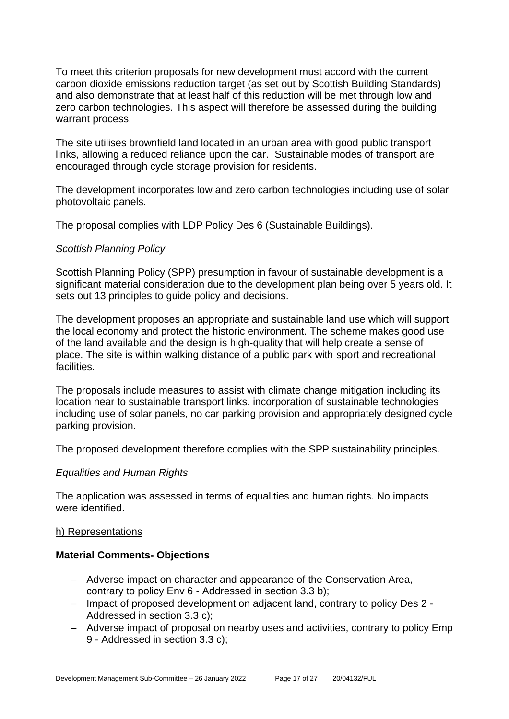To meet this criterion proposals for new development must accord with the current carbon dioxide emissions reduction target (as set out by Scottish Building Standards) and also demonstrate that at least half of this reduction will be met through low and zero carbon technologies. This aspect will therefore be assessed during the building warrant process.

The site utilises brownfield land located in an urban area with good public transport links, allowing a reduced reliance upon the car. Sustainable modes of transport are encouraged through cycle storage provision for residents.

The development incorporates low and zero carbon technologies including use of solar photovoltaic panels.

The proposal complies with LDP Policy Des 6 (Sustainable Buildings).

#### *Scottish Planning Policy*

Scottish Planning Policy (SPP) presumption in favour of sustainable development is a significant material consideration due to the development plan being over 5 years old. It sets out 13 principles to guide policy and decisions.

The development proposes an appropriate and sustainable land use which will support the local economy and protect the historic environment. The scheme makes good use of the land available and the design is high-quality that will help create a sense of place. The site is within walking distance of a public park with sport and recreational facilities.

The proposals include measures to assist with climate change mitigation including its location near to sustainable transport links, incorporation of sustainable technologies including use of solar panels, no car parking provision and appropriately designed cycle parking provision.

The proposed development therefore complies with the SPP sustainability principles.

#### *Equalities and Human Rights*

The application was assessed in terms of equalities and human rights. No impacts were identified.

#### h) Representations

#### **Material Comments- Objections**

- − Adverse impact on character and appearance of the Conservation Area, contrary to policy Env 6 - Addressed in section 3.3 b);
- − Impact of proposed development on adjacent land, contrary to policy Des 2 Addressed in section 3.3 c);
- − Adverse impact of proposal on nearby uses and activities, contrary to policy Emp 9 - Addressed in section 3.3 c);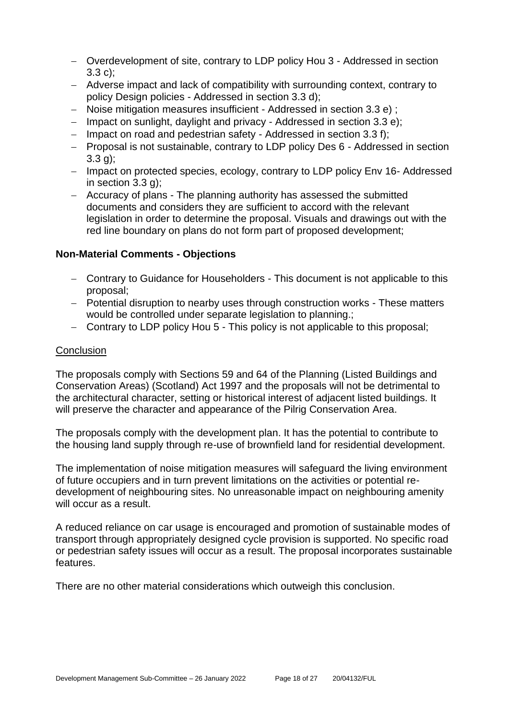- − Overdevelopment of site, contrary to LDP policy Hou 3 Addressed in section 3.3 c);
- − Adverse impact and lack of compatibility with surrounding context, contrary to policy Design policies - Addressed in section 3.3 d);
- − Noise mitigation measures insufficient Addressed in section 3.3 e) ;
- − Impact on sunlight, daylight and privacy Addressed in section 3.3 e);
- − Impact on road and pedestrian safety Addressed in section 3.3 f);
- − Proposal is not sustainable, contrary to LDP policy Des 6 Addressed in section 3.3 g);
- − Impact on protected species, ecology, contrary to LDP policy Env 16- Addressed in section 3.3 g);
- − Accuracy of plans The planning authority has assessed the submitted documents and considers they are sufficient to accord with the relevant legislation in order to determine the proposal. Visuals and drawings out with the red line boundary on plans do not form part of proposed development;

#### **Non-Material Comments - Objections**

- − Contrary to Guidance for Householders This document is not applicable to this proposal;
- − Potential disruption to nearby uses through construction works These matters would be controlled under separate legislation to planning.;
- − Contrary to LDP policy Hou 5 This policy is not applicable to this proposal;

#### **Conclusion**

The proposals comply with Sections 59 and 64 of the Planning (Listed Buildings and Conservation Areas) (Scotland) Act 1997 and the proposals will not be detrimental to the architectural character, setting or historical interest of adjacent listed buildings. It will preserve the character and appearance of the Pilrig Conservation Area.

The proposals comply with the development plan. It has the potential to contribute to the housing land supply through re-use of brownfield land for residential development.

The implementation of noise mitigation measures will safeguard the living environment of future occupiers and in turn prevent limitations on the activities or potential redevelopment of neighbouring sites. No unreasonable impact on neighbouring amenity will occur as a result.

A reduced reliance on car usage is encouraged and promotion of sustainable modes of transport through appropriately designed cycle provision is supported. No specific road or pedestrian safety issues will occur as a result. The proposal incorporates sustainable features.

There are no other material considerations which outweigh this conclusion.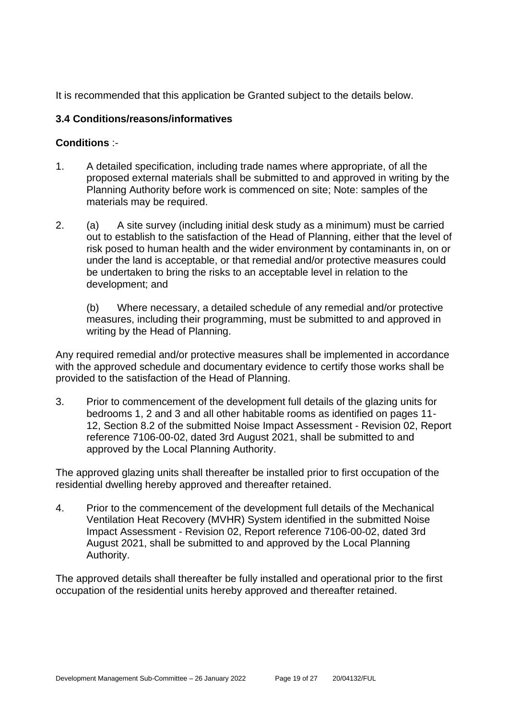It is recommended that this application be Granted subject to the details below.

## **3.4 Conditions/reasons/informatives**

#### **Conditions** :-

- 1. A detailed specification, including trade names where appropriate, of all the proposed external materials shall be submitted to and approved in writing by the Planning Authority before work is commenced on site; Note: samples of the materials may be required.
- 2. (a) A site survey (including initial desk study as a minimum) must be carried out to establish to the satisfaction of the Head of Planning, either that the level of risk posed to human health and the wider environment by contaminants in, on or under the land is acceptable, or that remedial and/or protective measures could be undertaken to bring the risks to an acceptable level in relation to the development; and

(b) Where necessary, a detailed schedule of any remedial and/or protective measures, including their programming, must be submitted to and approved in writing by the Head of Planning.

Any required remedial and/or protective measures shall be implemented in accordance with the approved schedule and documentary evidence to certify those works shall be provided to the satisfaction of the Head of Planning.

3. Prior to commencement of the development full details of the glazing units for bedrooms 1, 2 and 3 and all other habitable rooms as identified on pages 11- 12, Section 8.2 of the submitted Noise Impact Assessment - Revision 02, Report reference 7106-00-02, dated 3rd August 2021, shall be submitted to and approved by the Local Planning Authority.

The approved glazing units shall thereafter be installed prior to first occupation of the residential dwelling hereby approved and thereafter retained.

4. Prior to the commencement of the development full details of the Mechanical Ventilation Heat Recovery (MVHR) System identified in the submitted Noise Impact Assessment - Revision 02, Report reference 7106-00-02, dated 3rd August 2021, shall be submitted to and approved by the Local Planning Authority.

The approved details shall thereafter be fully installed and operational prior to the first occupation of the residential units hereby approved and thereafter retained.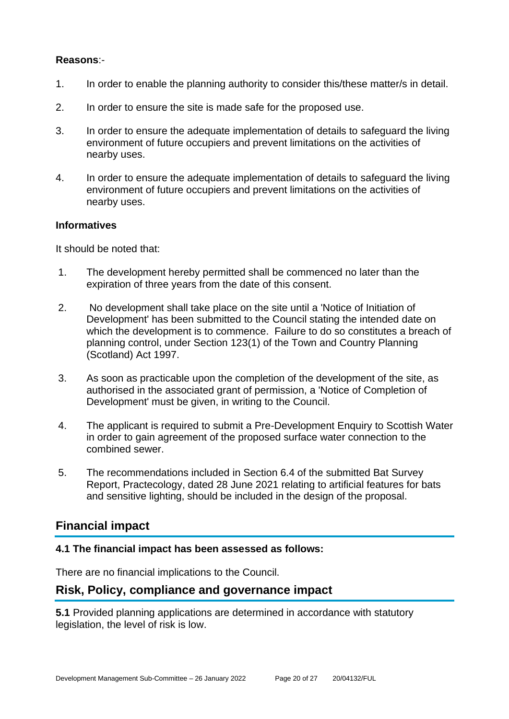#### **Reasons**:-

- 1. In order to enable the planning authority to consider this/these matter/s in detail.
- 2. In order to ensure the site is made safe for the proposed use.
- 3. In order to ensure the adequate implementation of details to safeguard the living environment of future occupiers and prevent limitations on the activities of nearby uses.
- 4. In order to ensure the adequate implementation of details to safeguard the living environment of future occupiers and prevent limitations on the activities of nearby uses.

#### **Informatives**

It should be noted that:

- 1. The development hereby permitted shall be commenced no later than the expiration of three years from the date of this consent.
- 2. No development shall take place on the site until a 'Notice of Initiation of Development' has been submitted to the Council stating the intended date on which the development is to commence. Failure to do so constitutes a breach of planning control, under Section 123(1) of the Town and Country Planning (Scotland) Act 1997.
- 3. As soon as practicable upon the completion of the development of the site, as authorised in the associated grant of permission, a 'Notice of Completion of Development' must be given, in writing to the Council.
- 4. The applicant is required to submit a Pre-Development Enquiry to Scottish Water in order to gain agreement of the proposed surface water connection to the combined sewer.
- 5. The recommendations included in Section 6.4 of the submitted Bat Survey Report, Practecology, dated 28 June 2021 relating to artificial features for bats and sensitive lighting, should be included in the design of the proposal.

## **Financial impact**

#### **4.1 The financial impact has been assessed as follows:**

There are no financial implications to the Council.

## **Risk, Policy, compliance and governance impact**

**5.1** Provided planning applications are determined in accordance with statutory legislation, the level of risk is low.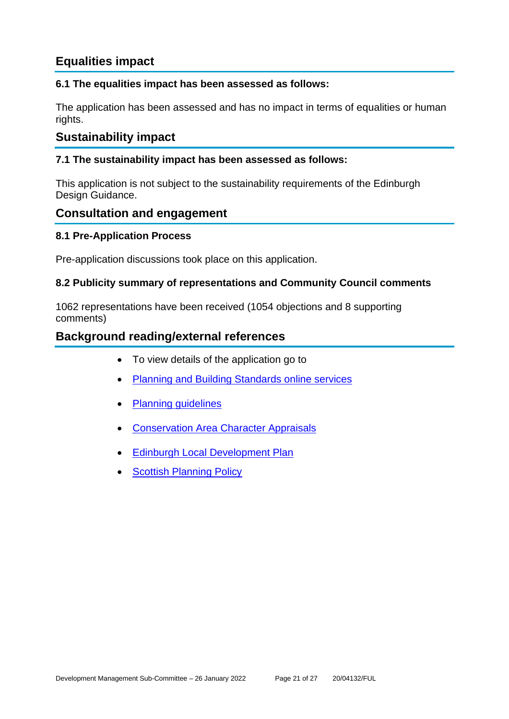## **Equalities impact**

## **6.1 The equalities impact has been assessed as follows:**

The application has been assessed and has no impact in terms of equalities or human rights.

## **Sustainability impact**

#### **7.1 The sustainability impact has been assessed as follows:**

This application is not subject to the sustainability requirements of the Edinburgh Design Guidance.

## **Consultation and engagement**

#### **8.1 Pre-Application Process**

Pre-application discussions took place on this application.

#### **8.2 Publicity summary of representations and Community Council comments**

1062 representations have been received (1054 objections and 8 supporting comments)

## **Background reading/external references**

- To view details of the application go to
- [Planning and Building Standards online services](https://citydev-portal.edinburgh.gov.uk/idoxpa-web/search.do?action=simple&searchType=Application)
- [Planning guidelines](http://www.edinburgh.gov.uk/planningguidelines)
- [Conservation Area Character Appraisals](http://www.edinburgh.gov.uk/characterappraisals)
- [Edinburgh Local Development Plan](http://www.edinburgh.gov.uk/localdevelopmentplan)
- **[Scottish Planning Policy](http://www.scotland.gov.uk/Topics/Built-Environment/planning/Policy)**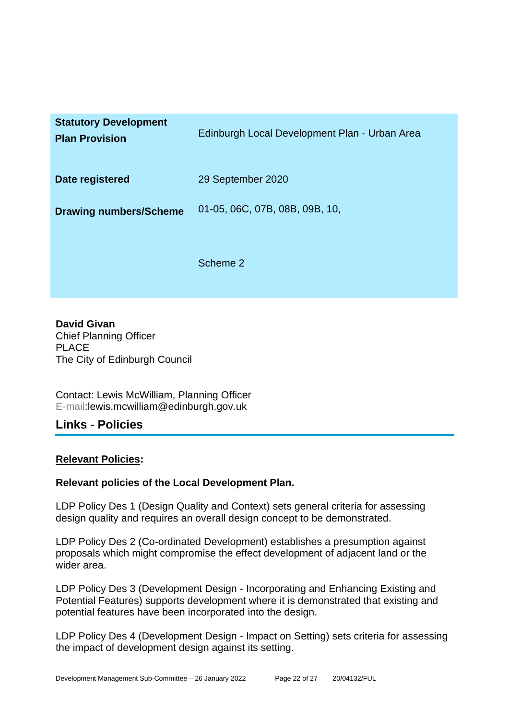| <b>Statutory Development</b><br><b>Plan Provision</b> | Edinburgh Local Development Plan - Urban Area |
|-------------------------------------------------------|-----------------------------------------------|
| Date registered                                       | 29 September 2020                             |
| <b>Drawing numbers/Scheme</b>                         | 01-05, 06C, 07B, 08B, 09B, 10,                |
|                                                       | Scheme 2                                      |

**David Givan** Chief Planning Officer PLACE The City of Edinburgh Council

Contact: Lewis McWilliam, Planning Officer E-mail:lewis.mcwilliam@edinburgh.gov.uk

## **Links - Policies**

#### **Relevant Policies:**

## **Relevant policies of the Local Development Plan.**

LDP Policy Des 1 (Design Quality and Context) sets general criteria for assessing design quality and requires an overall design concept to be demonstrated.

LDP Policy Des 2 (Co-ordinated Development) establishes a presumption against proposals which might compromise the effect development of adjacent land or the wider area.

LDP Policy Des 3 (Development Design - Incorporating and Enhancing Existing and Potential Features) supports development where it is demonstrated that existing and potential features have been incorporated into the design.

LDP Policy Des 4 (Development Design - Impact on Setting) sets criteria for assessing the impact of development design against its setting.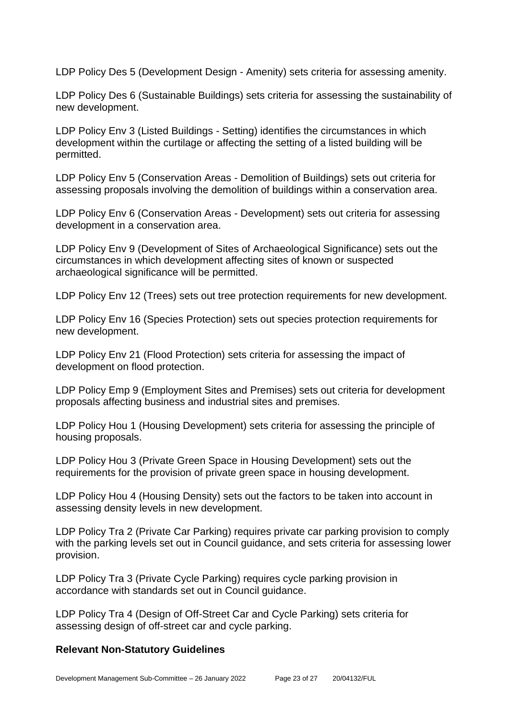LDP Policy Des 5 (Development Design - Amenity) sets criteria for assessing amenity.

LDP Policy Des 6 (Sustainable Buildings) sets criteria for assessing the sustainability of new development.

LDP Policy Env 3 (Listed Buildings - Setting) identifies the circumstances in which development within the curtilage or affecting the setting of a listed building will be permitted.

LDP Policy Env 5 (Conservation Areas - Demolition of Buildings) sets out criteria for assessing proposals involving the demolition of buildings within a conservation area.

LDP Policy Env 6 (Conservation Areas - Development) sets out criteria for assessing development in a conservation area.

LDP Policy Env 9 (Development of Sites of Archaeological Significance) sets out the circumstances in which development affecting sites of known or suspected archaeological significance will be permitted.

LDP Policy Env 12 (Trees) sets out tree protection requirements for new development.

LDP Policy Env 16 (Species Protection) sets out species protection requirements for new development.

LDP Policy Env 21 (Flood Protection) sets criteria for assessing the impact of development on flood protection.

LDP Policy Emp 9 (Employment Sites and Premises) sets out criteria for development proposals affecting business and industrial sites and premises.

LDP Policy Hou 1 (Housing Development) sets criteria for assessing the principle of housing proposals.

LDP Policy Hou 3 (Private Green Space in Housing Development) sets out the requirements for the provision of private green space in housing development.

LDP Policy Hou 4 (Housing Density) sets out the factors to be taken into account in assessing density levels in new development.

LDP Policy Tra 2 (Private Car Parking) requires private car parking provision to comply with the parking levels set out in Council guidance, and sets criteria for assessing lower provision.

LDP Policy Tra 3 (Private Cycle Parking) requires cycle parking provision in accordance with standards set out in Council guidance.

LDP Policy Tra 4 (Design of Off-Street Car and Cycle Parking) sets criteria for assessing design of off-street car and cycle parking.

#### **Relevant Non-Statutory Guidelines**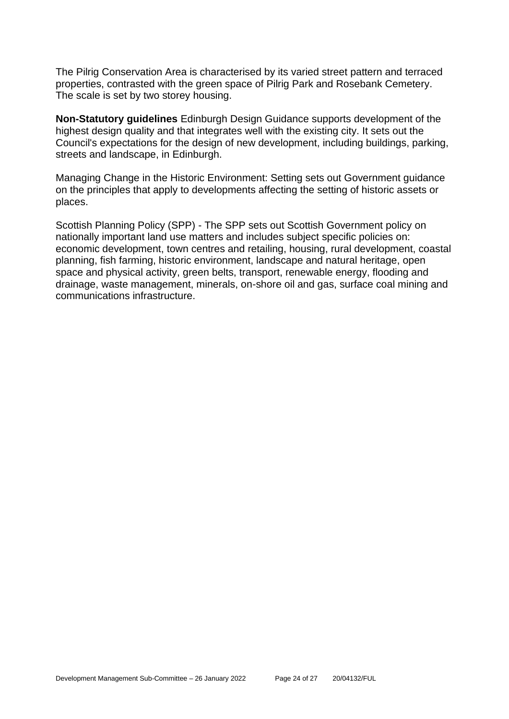The Pilrig Conservation Area is characterised by its varied street pattern and terraced properties, contrasted with the green space of Pilrig Park and Rosebank Cemetery. The scale is set by two storey housing.

**Non-Statutory guidelines** Edinburgh Design Guidance supports development of the highest design quality and that integrates well with the existing city. It sets out the Council's expectations for the design of new development, including buildings, parking, streets and landscape, in Edinburgh.

Managing Change in the Historic Environment: Setting sets out Government guidance on the principles that apply to developments affecting the setting of historic assets or places.

Scottish Planning Policy (SPP) - The SPP sets out Scottish Government policy on nationally important land use matters and includes subject specific policies on: economic development, town centres and retailing, housing, rural development, coastal planning, fish farming, historic environment, landscape and natural heritage, open space and physical activity, green belts, transport, renewable energy, flooding and drainage, waste management, minerals, on-shore oil and gas, surface coal mining and communications infrastructure.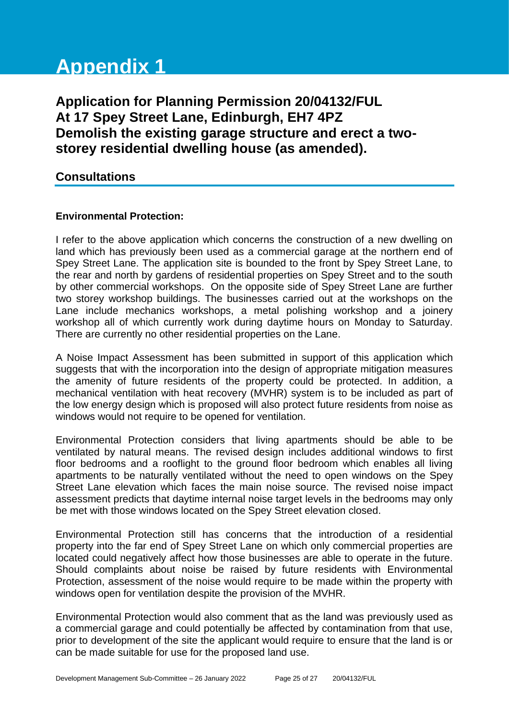# **Appendix 1**

**Application for Planning Permission 20/04132/FUL At 17 Spey Street Lane, Edinburgh, EH7 4PZ Demolish the existing garage structure and erect a twostorey residential dwelling house (as amended).**

## **Consultations**

#### **Environmental Protection:**

I refer to the above application which concerns the construction of a new dwelling on land which has previously been used as a commercial garage at the northern end of Spey Street Lane. The application site is bounded to the front by Spey Street Lane, to the rear and north by gardens of residential properties on Spey Street and to the south by other commercial workshops. On the opposite side of Spey Street Lane are further two storey workshop buildings. The businesses carried out at the workshops on the Lane include mechanics workshops, a metal polishing workshop and a joinery workshop all of which currently work during daytime hours on Monday to Saturday. There are currently no other residential properties on the Lane.

A Noise Impact Assessment has been submitted in support of this application which suggests that with the incorporation into the design of appropriate mitigation measures the amenity of future residents of the property could be protected. In addition, a mechanical ventilation with heat recovery (MVHR) system is to be included as part of the low energy design which is proposed will also protect future residents from noise as windows would not require to be opened for ventilation.

Environmental Protection considers that living apartments should be able to be ventilated by natural means. The revised design includes additional windows to first floor bedrooms and a rooflight to the ground floor bedroom which enables all living apartments to be naturally ventilated without the need to open windows on the Spey Street Lane elevation which faces the main noise source. The revised noise impact assessment predicts that daytime internal noise target levels in the bedrooms may only be met with those windows located on the Spey Street elevation closed.

Environmental Protection still has concerns that the introduction of a residential property into the far end of Spey Street Lane on which only commercial properties are located could negatively affect how those businesses are able to operate in the future. Should complaints about noise be raised by future residents with Environmental Protection, assessment of the noise would require to be made within the property with windows open for ventilation despite the provision of the MVHR.

Environmental Protection would also comment that as the land was previously used as a commercial garage and could potentially be affected by contamination from that use, prior to development of the site the applicant would require to ensure that the land is or can be made suitable for use for the proposed land use.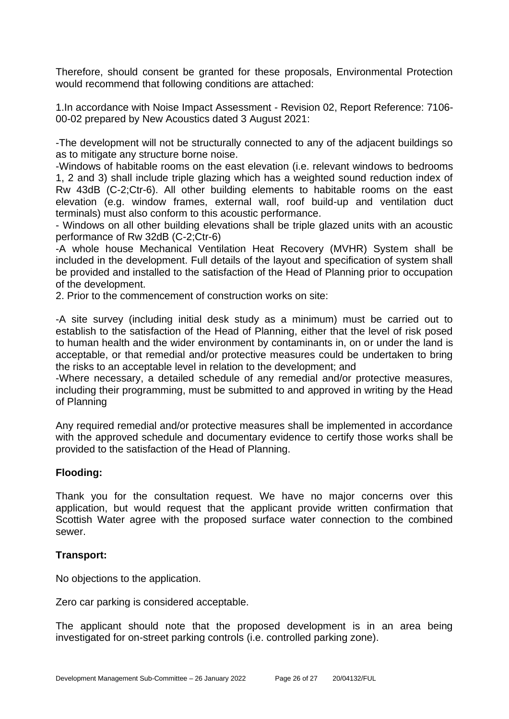Therefore, should consent be granted for these proposals, Environmental Protection would recommend that following conditions are attached:

1.In accordance with Noise Impact Assessment - Revision 02, Report Reference: 7106- 00-02 prepared by New Acoustics dated 3 August 2021:

-The development will not be structurally connected to any of the adjacent buildings so as to mitigate any structure borne noise.

-Windows of habitable rooms on the east elevation (i.e. relevant windows to bedrooms 1, 2 and 3) shall include triple glazing which has a weighted sound reduction index of Rw 43dB (C-2;Ctr-6). All other building elements to habitable rooms on the east elevation (e.g. window frames, external wall, roof build-up and ventilation duct terminals) must also conform to this acoustic performance.

- Windows on all other building elevations shall be triple glazed units with an acoustic performance of Rw 32dB (C-2;Ctr-6)

-A whole house Mechanical Ventilation Heat Recovery (MVHR) System shall be included in the development. Full details of the layout and specification of system shall be provided and installed to the satisfaction of the Head of Planning prior to occupation of the development.

2. Prior to the commencement of construction works on site:

-A site survey (including initial desk study as a minimum) must be carried out to establish to the satisfaction of the Head of Planning, either that the level of risk posed to human health and the wider environment by contaminants in, on or under the land is acceptable, or that remedial and/or protective measures could be undertaken to bring the risks to an acceptable level in relation to the development; and

-Where necessary, a detailed schedule of any remedial and/or protective measures, including their programming, must be submitted to and approved in writing by the Head of Planning

Any required remedial and/or protective measures shall be implemented in accordance with the approved schedule and documentary evidence to certify those works shall be provided to the satisfaction of the Head of Planning.

#### **Flooding:**

Thank you for the consultation request. We have no major concerns over this application, but would request that the applicant provide written confirmation that Scottish Water agree with the proposed surface water connection to the combined sewer.

#### **Transport:**

No objections to the application.

Zero car parking is considered acceptable.

The applicant should note that the proposed development is in an area being investigated for on-street parking controls (i.e. controlled parking zone).